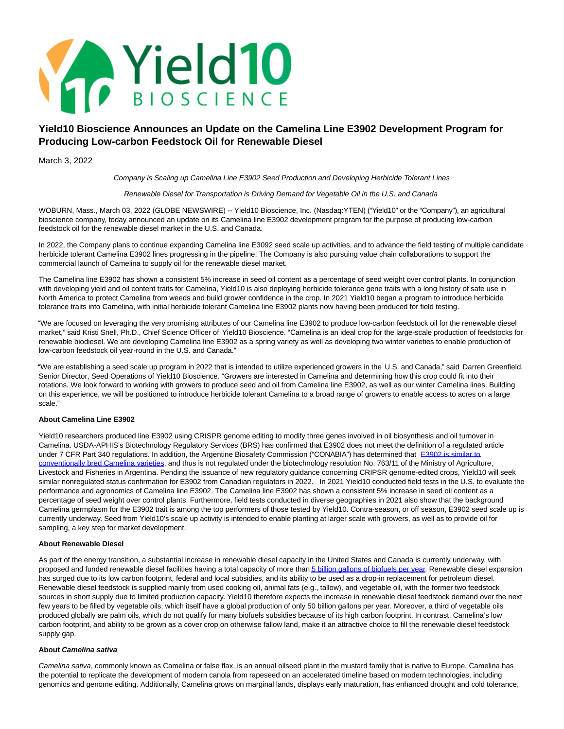

# **Yield10 Bioscience Announces an Update on the Camelina Line E3902 Development Program for Producing Low-carbon Feedstock Oil for Renewable Diesel**

March 3, 2022

Company is Scaling up Camelina Line E3902 Seed Production and Developing Herbicide Tolerant Lines

## Renewable Diesel for Transportation is Driving Demand for Vegetable Oil in the U.S. and Canada

WOBURN, Mass., March 03, 2022 (GLOBE NEWSWIRE) -- Yield10 Bioscience, Inc. (Nasdaq:YTEN) ("Yield10" or the "Company"), an agricultural bioscience company, today announced an update on its Camelina line E3902 development program for the purpose of producing low-carbon feedstock oil for the renewable diesel market in the U.S. and Canada.

In 2022, the Company plans to continue expanding Camelina line E3092 seed scale up activities, and to advance the field testing of multiple candidate herbicide tolerant Camelina E3902 lines progressing in the pipeline. The Company is also pursuing value chain collaborations to support the commercial launch of Camelina to supply oil for the renewable diesel market.

The Camelina line E3902 has shown a consistent 5% increase in seed oil content as a percentage of seed weight over control plants. In conjunction with developing yield and oil content traits for Camelina, Yield10 is also deploying herbicide tolerance gene traits with a long history of safe use in North America to protect Camelina from weeds and build grower confidence in the crop. In 2021 Yield10 began a program to introduce herbicide tolerance traits into Camelina, with initial herbicide tolerant Camelina line E3902 plants now having been produced for field testing.

"We are focused on leveraging the very promising attributes of our Camelina line E3902 to produce low-carbon feedstock oil for the renewable diesel market," said Kristi Snell, Ph.D., Chief Science Officer of Yield10 Bioscience. "Camelina is an ideal crop for the large-scale production of feedstocks for renewable biodiesel. We are developing Camelina line E3902 as a spring variety as well as developing two winter varieties to enable production of low-carbon feedstock oil year-round in the U.S. and Canada."

"We are establishing a seed scale up program in 2022 that is intended to utilize experienced growers in the U.S. and Canada," said Darren Greenfield, Senior Director, Seed Operations of Yield10 Bioscience. "Growers are interested in Camelina and determining how this crop could fit into their rotations. We look forward to working with growers to produce seed and oil from Camelina line E3902, as well as our winter Camelina lines. Building on this experience, we will be positioned to introduce herbicide tolerant Camelina to a broad range of growers to enable access to acres on a large scale."

# **About Camelina Line E3902**

Yield10 researchers produced line E3902 using CRISPR genome editing to modify three genes involved in oil biosynthesis and oil turnover in Camelina. USDA-APHIS's Biotechnology Regulatory Services (BRS) has confirmed that E3902 does not meet the definition of a regulated article under 7 CFR Part 340 regulations. In addition, the Argentine Biosafety Commission ("CONABIA") has determined that [E3902 is similar to](https://www.globenewswire.com/Tracker?data=yykYjwmWf579Nam4nFEITzKZtNq6sh1J6-HJMi-hwXtSnxu-l_C8UFnJ1-gnpjmYaJ2C-DEJZDfNyRC8zb3LVixdtMv1jh5gRxJD0IoEZvy24lNQSgfjiPWqFZE4K97CR6tCbnIJz0mrFVWm3-76a7_FLoSkiP9hJjcx0IfQWyfCUZnoblqiF9fashAAnI8AoVQZT2N8hPyn4jmDWSEAfbcnbdHPnbEp4_UrzWjV5IpbRTileOJiH0E1tmbWdisErNo8PjvnlpEbfV_EdBst8Ovm4hiDJBxkCF1WPUGBg0VwdqG8zuWHMxkK9M9os2HJ) conventionally bred Camelina varieties, and thus is not regulated under the biotechnology resolution No. 763/11 of the Ministry of Agriculture, Livestock and Fisheries in Argentina. Pending the issuance of new regulatory guidance concerning CRIPSR genome-edited crops, Yield10 will seek similar nonregulated status confirmation for E3902 from Canadian regulators in 2022. In 2021 Yield10 conducted field tests in the U.S. to evaluate the performance and agronomics of Camelina line E3902. The Camelina line E3902 has shown a consistent 5% increase in seed oil content as a percentage of seed weight over control plants. Furthermore, field tests conducted in diverse geographies in 2021 also show that the background Camelina germplasm for the E3902 trait is among the top performers of those tested by Yield10. Contra-season, or off season, E3902 seed scale up is currently underway. Seed from Yield10's scale up activity is intended to enable planting at larger scale with growers, as well as to provide oil for sampling, a key step for market development.

# **About Renewable Diesel**

As part of the energy transition, a substantial increase in renewable diesel capacity in the United States and Canada is currently underway, with proposed and funded renewable diesel facilities having a total capacity of more tha[n 5 billion gallons of biofuels per year.](https://www.globenewswire.com/Tracker?data=MvW21RkoWDykmoYz76A7owHR3FpE6POfaEcx9m9mHTTEs3HLO6Bnpzrdk9I_spqN2EoMPj78NCeh7_qqnJb43mbdXN1dpHlJhSP1dSuim1B8P9tjIWEWVOsXQCpBgzSCMDcjC-EP9K4e5chQiTeYRS-nfVc8BqTpuDYdC9NyUuFdvHgjDVugQO3OL8qH1d4n) Renewable diesel expansion has surged due to its low carbon footprint, federal and local subsidies, and its ability to be used as a drop-in replacement for petroleum diesel. Renewable diesel feedstock is supplied mainly from used cooking oil, animal fats (e.g., tallow), and vegetable oil, with the former two feedstock sources in short supply due to limited production capacity. Yield10 therefore expects the increase in renewable diesel feedstock demand over the next few years to be filled by vegetable oils, which itself have a global production of only 50 billion gallons per year. Moreover, a third of vegetable oils produced globally are palm oils, which do not qualify for many biofuels subsidies because of its high carbon footprint. In contrast, Camelina's low carbon footprint, and ability to be grown as a cover crop on otherwise fallow land, make it an attractive choice to fill the renewable diesel feedstock supply gap.

#### **About Camelina sativa**

Camelina sativa, commonly known as Camelina or false flax, is an annual oilseed plant in the mustard family that is native to Europe. Camelina has the potential to replicate the development of modern canola from rapeseed on an accelerated timeline based on modern technologies, including genomics and genome editing. Additionally, Camelina grows on marginal lands, displays early maturation, has enhanced drought and cold tolerance,